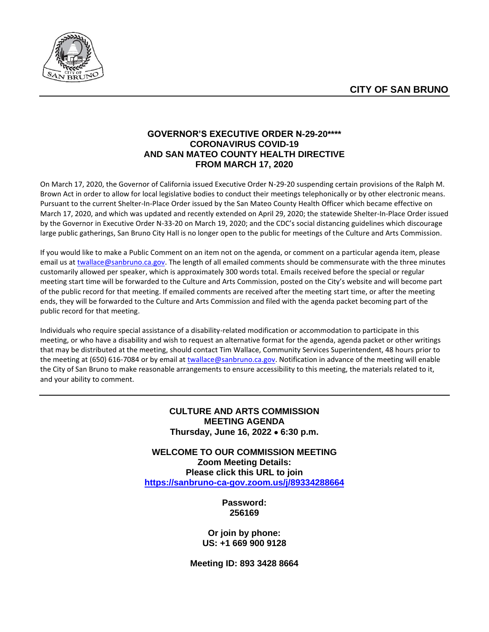

### **GOVERNOR'S EXECUTIVE ORDER N-29-20\*\*\*\* CORONAVIRUS COVID-19 AND SAN MATEO COUNTY HEALTH DIRECTIVE FROM MARCH 17, 2020**

On March 17, 2020, the Governor of California issued Executive Order N-29-20 suspending certain provisions of the Ralph M. Brown Act in order to allow for local legislative bodies to conduct their meetings telephonically or by other electronic means. Pursuant to the current Shelter-In-Place Order issued by the San Mateo County Health Officer which became effective on March 17, 2020, and which was updated and recently extended on April 29, 2020; the statewide Shelter-In-Place Order issued by the Governor in Executive Order N-33-20 on March 19, 2020; and the CDC's social distancing guidelines which discourage large public gatherings, San Bruno City Hall is no longer open to the public for meetings of the Culture and Arts Commission.

If you would like to make a Public Comment on an item not on the agenda, or comment on a particular agenda item, please email us at [twallace@sanbruno.ca.gov.](file://///skyline/public/Bulletin%20Board/Culture%20and%20Arts%20Commission/2020%20Minutes%20&%20Agendas/08-August/twallace@sanbruno.ca.gov) The length of all emailed comments should be commensurate with the three minutes customarily allowed per speaker, which is approximately 300 words total. Emails received before the special or regular meeting start time will be forwarded to the Culture and Arts Commission, posted on the City's website and will become part of the public record for that meeting. If emailed comments are received after the meeting start time, or after the meeting ends, they will be forwarded to the Culture and Arts Commission and filed with the agenda packet becoming part of the public record for that meeting.

Individuals who require special assistance of a disability-related modification or accommodation to participate in this meeting, or who have a disability and wish to request an alternative format for the agenda, agenda packet or other writings that may be distributed at the meeting, should contact Tim Wallace, Community Services Superintendent, 48 hours prior to the meeting at (650) 616-7084 or by email at [twallace@sanbruno.ca.gov.](file://///skyline/public/Bulletin%20Board/Culture%20and%20Arts%20Commission/2020%20Minutes%20&%20Agendas/08-August/twallace@sanbruno.ca.gov) Notification in advance of the meeting will enable the City of San Bruno to make reasonable arrangements to ensure accessibility to this meeting, the materials related to it, and your ability to comment.

### **CULTURE AND ARTS COMMISSION MEETING AGENDA Thursday, June 16, 2022** • **6:30 p.m.**

**WELCOME TO OUR COMMISSION MEETING Zoom Meeting Details: Please click this URL to join <https://sanbruno-ca-gov.zoom.us/j/89334288664>**

> **Password: 256169**

**Or join by phone: US: +1 669 900 9128**

**Meeting ID: 893 3428 8664**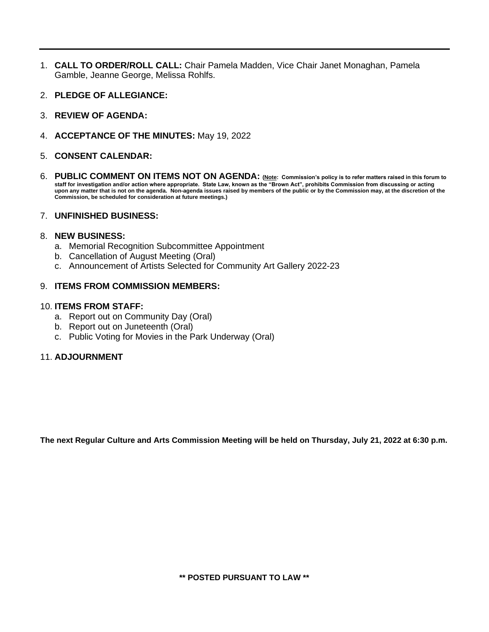- 1. **CALL TO ORDER/ROLL CALL:** Chair Pamela Madden, Vice Chair Janet Monaghan, Pamela Gamble, Jeanne George, Melissa Rohlfs.
- 2. **PLEDGE OF ALLEGIANCE:**
- 3. **REVIEW OF AGENDA:**
- 4. **ACCEPTANCE OF THE MINUTES:** May 19, 2022
- 5. **CONSENT CALENDAR:**
- 6. **PUBLIC COMMENT ON ITEMS NOT ON AGENDA: (Note: Commission's policy is to refer matters raised in this forum to staff for investigation and/or action where appropriate. State Law, known as the "Brown Act", prohibits Commission from discussing or acting upon any matter that is not on the agenda. Non-agenda issues raised by members of the public or by the Commission may, at the discretion of the Commission, be scheduled for consideration at future meetings.)**

#### 7. **UNFINISHED BUSINESS:**

#### 8. **NEW BUSINESS:**

- a. Memorial Recognition Subcommittee Appointment
- b. Cancellation of August Meeting (Oral)
- c. Announcement of Artists Selected for Community Art Gallery 2022-23

#### 9. **ITEMS FROM COMMISSION MEMBERS:**

#### 10. **ITEMS FROM STAFF:**

- a. Report out on Community Day (Oral)
- b. Report out on Juneteenth (Oral)
- c. Public Voting for Movies in the Park Underway (Oral)

#### 11. **ADJOURNMENT**

**The next Regular Culture and Arts Commission Meeting will be held on Thursday, July 21, 2022 at 6:30 p.m.**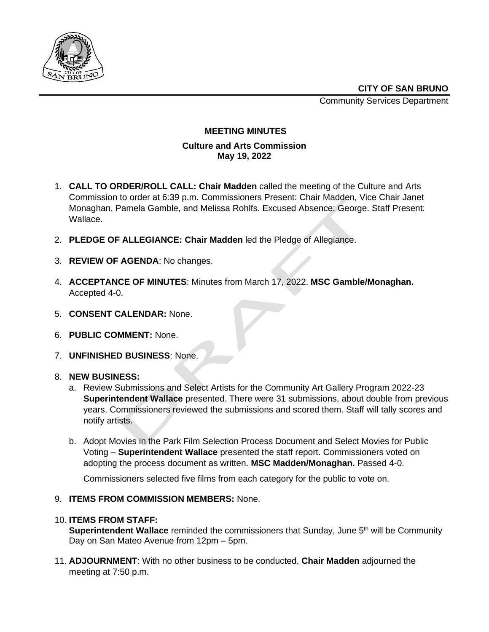

Community Services Department



#### **MEETING MINUTES**

### **Culture and Arts Commission May 19, 2022**

- 1. **CALL TO ORDER/ROLL CALL: Chair Madden** called the meeting of the Culture and Arts Commission to order at 6:39 p.m. Commissioners Present: Chair Madden, Vice Chair Janet Monaghan, Pamela Gamble, and Melissa Rohlfs. Excused Absence: George. Staff Present: Wallace.
- 2. **PLEDGE OF ALLEGIANCE: Chair Madden** led the Pledge of Allegiance.
- 3. **REVIEW OF AGENDA**: No changes.
- 4. **ACCEPTANCE OF MINUTES**: Minutes from March 17, 2022. **MSC Gamble/Monaghan.**  Accepted 4-0.
- 5. **CONSENT CALENDAR:** None.
- 6. **PUBLIC COMMENT:** None.
- 7. **UNFINISHED BUSINESS**: None.
- 8. **NEW BUSINESS:**
	- a. Review Submissions and Select Artists for the Community Art Gallery Program 2022-23 **Superintendent Wallace** presented. There were 31 submissions, about double from previous years. Commissioners reviewed the submissions and scored them. Staff will tally scores and notify artists.
	- b. Adopt Movies in the Park Film Selection Process Document and Select Movies for Public Voting – **Superintendent Wallace** presented the staff report. Commissioners voted on adopting the process document as written. **MSC Madden/Monaghan.** Passed 4-0.

Commissioners selected five films from each category for the public to vote on.

### 9. **ITEMS FROM COMMISSION MEMBERS:** None.

### 10. **ITEMS FROM STAFF:**

**Superintendent Wallace** reminded the commissioners that Sunday, June 5<sup>th</sup> will be Community Day on San Mateo Avenue from 12pm – 5pm.

11. **ADJOURNMENT**: With no other business to be conducted, **Chair Madden** adjourned the meeting at 7:50 p.m.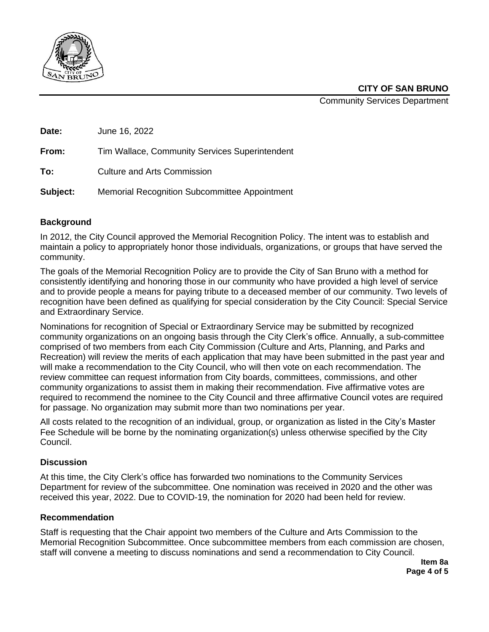

Community Services Department

| Date: | June 16, 2022                                  |
|-------|------------------------------------------------|
| From: | Tim Wallace, Community Services Superintendent |
| To:   | <b>Culture and Arts Commission</b>             |

**Subject:** Memorial Recognition Subcommittee Appointment

# **Background**

In 2012, the City Council approved the Memorial Recognition Policy. The intent was to establish and maintain a policy to appropriately honor those individuals, organizations, or groups that have served the community.

The goals of the Memorial Recognition Policy are to provide the City of San Bruno with a method for consistently identifying and honoring those in our community who have provided a high level of service and to provide people a means for paying tribute to a deceased member of our community. Two levels of recognition have been defined as qualifying for special consideration by the City Council: Special Service and Extraordinary Service.

Nominations for recognition of Special or Extraordinary Service may be submitted by recognized community organizations on an ongoing basis through the City Clerk's office. Annually, a sub-committee comprised of two members from each City Commission (Culture and Arts, Planning, and Parks and Recreation) will review the merits of each application that may have been submitted in the past year and will make a recommendation to the City Council, who will then vote on each recommendation. The review committee can request information from City boards, committees, commissions, and other community organizations to assist them in making their recommendation. Five affirmative votes are required to recommend the nominee to the City Council and three affirmative Council votes are required for passage. No organization may submit more than two nominations per year.

All costs related to the recognition of an individual, group, or organization as listed in the City's Master Fee Schedule will be borne by the nominating organization(s) unless otherwise specified by the City Council.

# **Discussion**

At this time, the City Clerk's office has forwarded two nominations to the Community Services Department for review of the subcommittee. One nomination was received in 2020 and the other was received this year, 2022. Due to COVID-19, the nomination for 2020 had been held for review.

### **Recommendation**

Staff is requesting that the Chair appoint two members of the Culture and Arts Commission to the Memorial Recognition Subcommittee. Once subcommittee members from each commission are chosen, staff will convene a meeting to discuss nominations and send a recommendation to City Council.